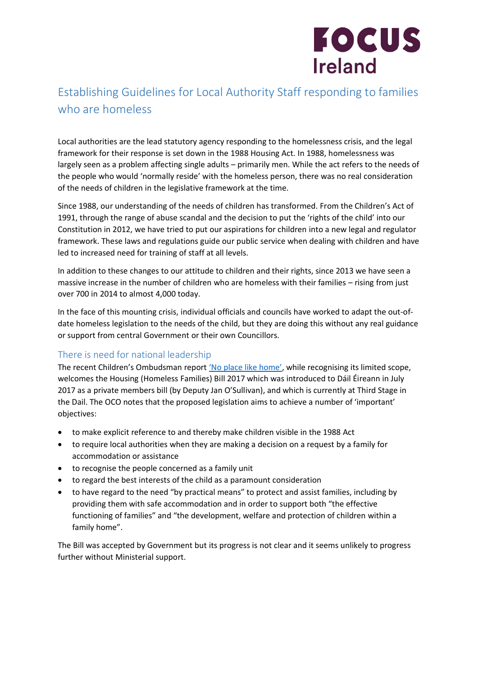

## Establishing Guidelines for Local Authority Staff responding to families who are homeless

Local authorities are the lead statutory agency responding to the homelessness crisis, and the legal framework for their response is set down in the 1988 Housing Act. In 1988, homelessness was largely seen as a problem affecting single adults – primarily men. While the act refers to the needs of the people who would 'normally reside' with the homeless person, there was no real consideration of the needs of children in the legislative framework at the time.

Since 1988, our understanding of the needs of children has transformed. From the Children's Act of 1991, through the range of abuse scandal and the decision to put the 'rights of the child' into our Constitution in 2012, we have tried to put our aspirations for children into a new legal and regulator framework. These laws and regulations guide our public service when dealing with children and have led to increased need for training of staff at all levels.

In addition to these changes to our attitude to children and their rights, since 2013 we have seen a massive increase in the number of children who are homeless with their families – rising from just over 700 in 2014 to almost 4,000 today.

In the face of this mounting crisis, individual officials and councils have worked to adapt the out-ofdate homeless legislation to the needs of the child, but they are doing this without any real guidance or support from central Government or their own Councillors.

## There is need for national leadership

The recent Children's Ombudsman report ['No place like home'](http://bit.ly/NoPlaceLikeHomeOCO), while recognising its limited scope, welcomes the Housing (Homeless Families) Bill 2017 which was introduced to Dáil Éireann in July 2017 as a private members bill (by Deputy Jan O'Sullivan), and which is currently at Third Stage in the Dail. The OCO notes that the proposed legislation aims to achieve a number of 'important' objectives:

- to make explicit reference to and thereby make children visible in the 1988 Act
- to require local authorities when they are making a decision on a request by a family for accommodation or assistance
- to recognise the people concerned as a family unit
- to regard the best interests of the child as a paramount consideration
- to have regard to the need "by practical means" to protect and assist families, including by providing them with safe accommodation and in order to support both "the effective functioning of families" and "the development, welfare and protection of children within a family home".

The Bill was accepted by Government but its progress is not clear and it seems unlikely to progress further without Ministerial support.